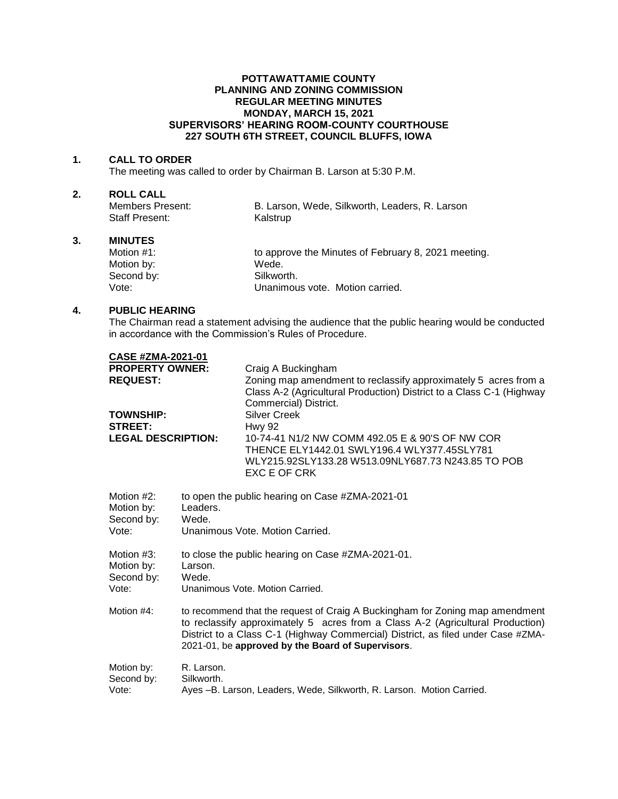## **POTTAWATTAMIE COUNTY PLANNING AND ZONING COMMISSION REGULAR MEETING MINUTES MONDAY, MARCH 15, 2021 SUPERVISORS' HEARING ROOM-COUNTY COURTHOUSE 227 SOUTH 6TH STREET, COUNCIL BLUFFS, IOWA**

#### **1. CALL TO ORDER**

The meeting was called to order by Chairman B. Larson at 5:30 P.M.

# **2. ROLL CALL**

| Members Present:      | B. Larson, Wede, Silkworth, Leaders, R. Larson |
|-----------------------|------------------------------------------------|
| <b>Staff Present:</b> | Kalstrup                                       |

## **3. MINUTES**

| Motion $#1$ : | to approve the Minutes of February 8, 2021 meeting. |
|---------------|-----------------------------------------------------|
| Motion by:    | Wede.                                               |
| Second by:    | Silkworth.                                          |
| Vote:         | Unanimous vote. Motion carried.                     |

## **4. PUBLIC HEARING**

The Chairman read a statement advising the audience that the public hearing would be conducted in accordance with the Commission's Rules of Procedure.

| <b>CASE #ZMA-2021-01</b>                                      |                                                                                                                                                                                                                                                                                                         |                                                                                                                                                                                                               |  |
|---------------------------------------------------------------|---------------------------------------------------------------------------------------------------------------------------------------------------------------------------------------------------------------------------------------------------------------------------------------------------------|---------------------------------------------------------------------------------------------------------------------------------------------------------------------------------------------------------------|--|
| <b>PROPERTY OWNER:</b><br><b>REQUEST:</b><br><b>TOWNSHIP:</b> |                                                                                                                                                                                                                                                                                                         | Craig A Buckingham<br>Zoning map amendment to reclassify approximately 5 acres from a<br>Class A-2 (Agricultural Production) District to a Class C-1 (Highway<br>Commercial) District.<br><b>Silver Creek</b> |  |
| <b>STREET:</b><br><b>LEGAL DESCRIPTION:</b>                   |                                                                                                                                                                                                                                                                                                         | <b>Hwy 92</b><br>10-74-41 N1/2 NW COMM 492.05 E & 90'S OF NW COR<br>THENCE ELY1442.01 SWLY196.4 WLY377.45SLY781<br>WLY215.92SLY133.28 W513.09NLY687.73 N243.85 TO POB<br>EXC E OF CRK                         |  |
| Motion #2:<br>Motion by:<br>Second by:<br>Vote:               | to open the public hearing on Case #ZMA-2021-01<br>Leaders.<br>Wede.<br>Unanimous Vote, Motion Carried.                                                                                                                                                                                                 |                                                                                                                                                                                                               |  |
| Motion #3:<br>Motion by:<br>Second by:<br>Vote:               | to close the public hearing on Case #ZMA-2021-01.<br>Larson.<br>Wede.<br>Unanimous Vote, Motion Carried.                                                                                                                                                                                                |                                                                                                                                                                                                               |  |
| Motion #4:                                                    | to recommend that the request of Craig A Buckingham for Zoning map amendment<br>to reclassify approximately 5 acres from a Class A-2 (Agricultural Production)<br>District to a Class C-1 (Highway Commercial) District, as filed under Case #ZMA-<br>2021-01, be approved by the Board of Supervisors. |                                                                                                                                                                                                               |  |
| Motion by:<br>Second by:<br>Vote:                             | R. Larson.<br>Silkworth.<br>Ayes -B. Larson, Leaders, Wede, Silkworth, R. Larson. Motion Carried.                                                                                                                                                                                                       |                                                                                                                                                                                                               |  |